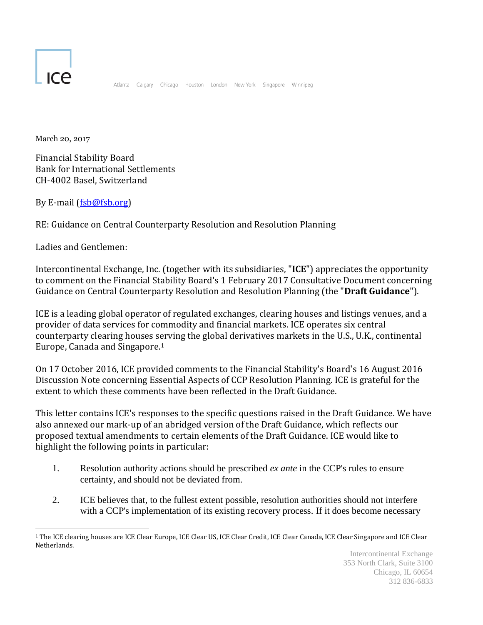

Atlanta Calgary Chicago Houston London New-York Singapore Winnipeg

March 20, 2017

Financial Stability Board Bank for International Settlements CH-4002 Basel, Switzerland

By E-mail [\(fsb@fsb.org\)](mailto:fsb@fsb.org)

RE: Guidance on Central Counterparty Resolution and Resolution Planning

Ladies and Gentlemen:

Intercontinental Exchange, Inc. (together with its subsidiaries, "**ICE**") appreciates the opportunity to comment on the Financial Stability Board's 1 February 2017 Consultative Document concerning Guidance on Central Counterparty Resolution and Resolution Planning (the "**Draft Guidance**").

ICE is a leading global operator of regulated exchanges, clearing houses and listings venues, and a provider of data services for commodity and financial markets. ICE operates six central counterparty clearing houses serving the global derivatives markets in the U.S., U.K., continental Europe, Canada and Singapore.<sup>1</sup>

On 17 October 2016, ICE provided comments to the Financial Stability's Board's 16 August 2016 Discussion Note concerning Essential Aspects of CCP Resolution Planning. ICE is grateful for the extent to which these comments have been reflected in the Draft Guidance.

This letter contains ICE's responses to the specific questions raised in the Draft Guidance. We have also annexed our mark-up of an abridged version of the Draft Guidance, which reflects our proposed textual amendments to certain elements of the Draft Guidance. ICE would like to highlight the following points in particular:

- 1. Resolution authority actions should be prescribed *ex ante* in the CCP's rules to ensure certainty, and should not be deviated from.
- 2. ICE believes that, to the fullest extent possible, resolution authorities should not interfere with a CCP's implementation of its existing recovery process. If it does become necessary

 $\overline{a}$ <sup>1</sup> The ICE clearing houses are ICE Clear Europe, ICE Clear US, ICE Clear Credit, ICE Clear Canada, ICE Clear Singapore and ICE Clear Netherlands.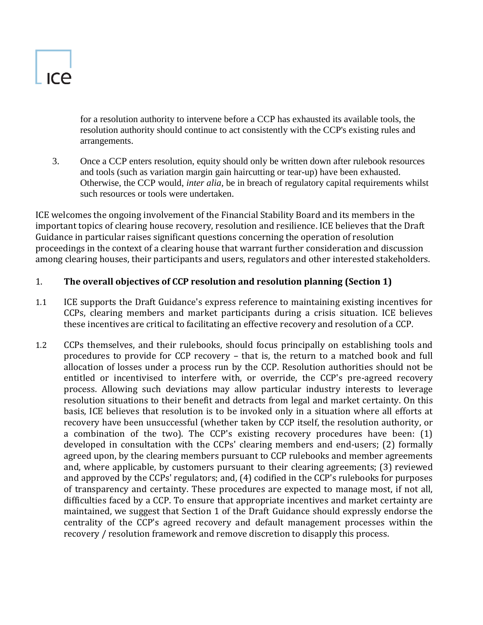for a resolution authority to intervene before a CCP has exhausted its available tools, the resolution authority should continue to act consistently with the CCP's existing rules and arrangements.

3. Once a CCP enters resolution, equity should only be written down after rulebook resources and tools (such as variation margin gain haircutting or tear-up) have been exhausted. Otherwise, the CCP would, *inter alia,* be in breach of regulatory capital requirements whilst such resources or tools were undertaken.

ICE welcomes the ongoing involvement of the Financial Stability Board and its members in the important topics of clearing house recovery, resolution and resilience. ICE believes that the Draft Guidance in particular raises significant questions concerning the operation of resolution proceedings in the context of a clearing house that warrant further consideration and discussion among clearing houses, their participants and users, regulators and other interested stakeholders.

# 1. **The overall objectives of CCP resolution and resolution planning (Section 1)**

- 1.1 ICE supports the Draft Guidance's express reference to maintaining existing incentives for CCPs, clearing members and market participants during a crisis situation. ICE believes these incentives are critical to facilitating an effective recovery and resolution of a CCP.
- 1.2 CCPs themselves, and their rulebooks, should focus principally on establishing tools and procedures to provide for CCP recovery – that is, the return to a matched book and full allocation of losses under a process run by the CCP. Resolution authorities should not be entitled or incentivised to interfere with, or override, the CCP's pre-agreed recovery process. Allowing such deviations may allow particular industry interests to leverage resolution situations to their benefit and detracts from legal and market certainty. On this basis, ICE believes that resolution is to be invoked only in a situation where all efforts at recovery have been unsuccessful (whether taken by CCP itself, the resolution authority, or a combination of the two). The CCP's existing recovery procedures have been: (1) developed in consultation with the CCPs' clearing members and end-users; (2) formally agreed upon, by the clearing members pursuant to CCP rulebooks and member agreements and, where applicable, by customers pursuant to their clearing agreements; (3) reviewed and approved by the CCPs' regulators; and, (4) codified in the CCP's rulebooks for purposes of transparency and certainty. These procedures are expected to manage most, if not all, difficulties faced by a CCP. To ensure that appropriate incentives and market certainty are maintained, we suggest that Section 1 of the Draft Guidance should expressly endorse the centrality of the CCP's agreed recovery and default management processes within the recovery / resolution framework and remove discretion to disapply this process.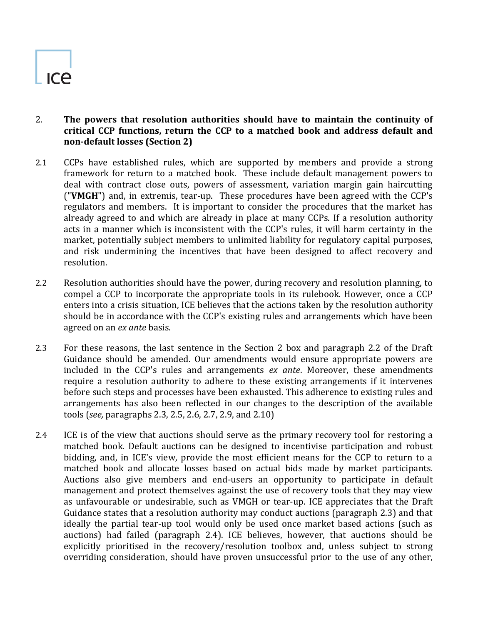- 2. **The powers that resolution authorities should have to maintain the continuity of critical CCP functions, return the CCP to a matched book and address default and non-default losses (Section 2)**
- <span id="page-2-0"></span>2.1 CCPs have established rules, which are supported by members and provide a strong framework for return to a matched book. These include default management powers to deal with contract close outs, powers of assessment, variation margin gain haircutting ("**VMGH**") and, in extremis, tear-up. These procedures have been agreed with the CCP's regulators and members. It is important to consider the procedures that the market has already agreed to and which are already in place at many CCPs. If a resolution authority acts in a manner which is inconsistent with the CCP's rules, it will harm certainty in the market, potentially subject members to unlimited liability for regulatory capital purposes, and risk undermining the incentives that have been designed to affect recovery and resolution.
- 2.2 Resolution authorities should have the power, during recovery and resolution planning, to compel a CCP to incorporate the appropriate tools in its rulebook. However, once a CCP enters into a crisis situation, ICE believes that the actions taken by the resolution authority should be in accordance with the CCP's existing rules and arrangements which have been agreed on an *ex ante* basis.
- 2.3 For these reasons, the last sentence in the Section 2 box and paragraph 2.2 of the Draft Guidance should be amended. Our amendments would ensure appropriate powers are included in the CCP's rules and arrangements *ex ante*. Moreover, these amendments require a resolution authority to adhere to these existing arrangements if it intervenes before such steps and processes have been exhausted. This adherence to existing rules and arrangements has also been reflected in our changes to the description of the available tools (*see,* paragraphs 2.3, 2.5, 2.6, 2.7, 2.9, and 2.10)
- 2.4 ICE is of the view that auctions should serve as the primary recovery tool for restoring a matched book. Default auctions can be designed to incentivise participation and robust bidding, and, in ICE's view, provide the most efficient means for the CCP to return to a matched book and allocate losses based on actual bids made by market participants. Auctions also give members and end-users an opportunity to participate in default management and protect themselves against the use of recovery tools that they may view as unfavourable or undesirable, such as VMGH or tear-up. ICE appreciates that the Draft Guidance states that a resolution authority may conduct auctions (paragraph 2.3) and that ideally the partial tear-up tool would only be used once market based actions (such as auctions) had failed (paragraph 2.4). ICE believes, however, that auctions should be explicitly prioritised in the recovery/resolution toolbox and, unless subject to strong overriding consideration, should have proven unsuccessful prior to the use of any other,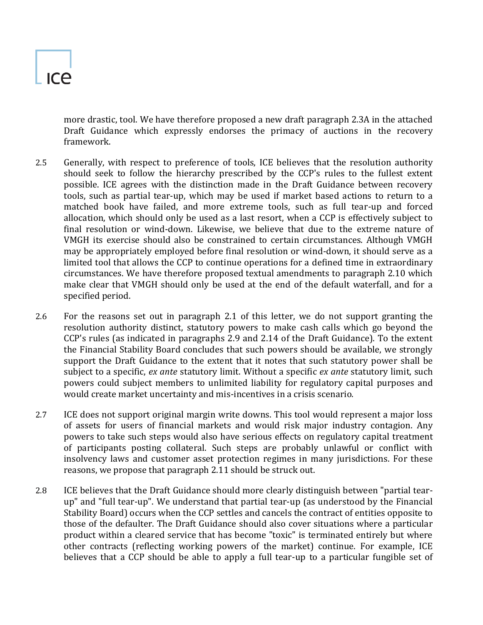# ICA

more drastic, tool. We have therefore proposed a new draft paragraph 2.3A in the attached Draft Guidance which expressly endorses the primacy of auctions in the recovery framework.

- 2.5 Generally, with respect to preference of tools, ICE believes that the resolution authority should seek to follow the hierarchy prescribed by the CCP's rules to the fullest extent possible. ICE agrees with the distinction made in the Draft Guidance between recovery tools, such as partial tear-up, which may be used if market based actions to return to a matched book have failed, and more extreme tools, such as full tear-up and forced allocation, which should only be used as a last resort, when a CCP is effectively subject to final resolution or wind-down. Likewise, we believe that due to the extreme nature of VMGH its exercise should also be constrained to certain circumstances. Although VMGH may be appropriately employed before final resolution or wind-down, it should serve as a limited tool that allows the CCP to continue operations for a defined time in extraordinary circumstances. We have therefore proposed textual amendments to paragraph 2.10 which make clear that VMGH should only be used at the end of the default waterfall, and for a specified period.
- 2.6 For the reasons set out in paragraph [2.1](#page-2-0) of this letter, we do not support granting the resolution authority distinct, statutory powers to make cash calls which go beyond the CCP's rules (as indicated in paragraphs 2.9 and 2.14 of the Draft Guidance). To the extent the Financial Stability Board concludes that such powers should be available, we strongly support the Draft Guidance to the extent that it notes that such statutory power shall be subject to a specific, *ex ante* statutory limit. Without a specific *ex ante* statutory limit, such powers could subject members to unlimited liability for regulatory capital purposes and would create market uncertainty and mis-incentives in a crisis scenario.
- 2.7 ICE does not support original margin write downs. This tool would represent a major loss of assets for users of financial markets and would risk major industry contagion. Any powers to take such steps would also have serious effects on regulatory capital treatment of participants posting collateral. Such steps are probably unlawful or conflict with insolvency laws and customer asset protection regimes in many jurisdictions. For these reasons, we propose that paragraph 2.11 should be struck out.
- 2.8 ICE believes that the Draft Guidance should more clearly distinguish between "partial tearup" and "full tear-up". We understand that partial tear-up (as understood by the Financial Stability Board) occurs when the CCP settles and cancels the contract of entities opposite to those of the defaulter. The Draft Guidance should also cover situations where a particular product within a cleared service that has become "toxic" is terminated entirely but where other contracts (reflecting working powers of the market) continue. For example, ICE believes that a CCP should be able to apply a full tear-up to a particular fungible set of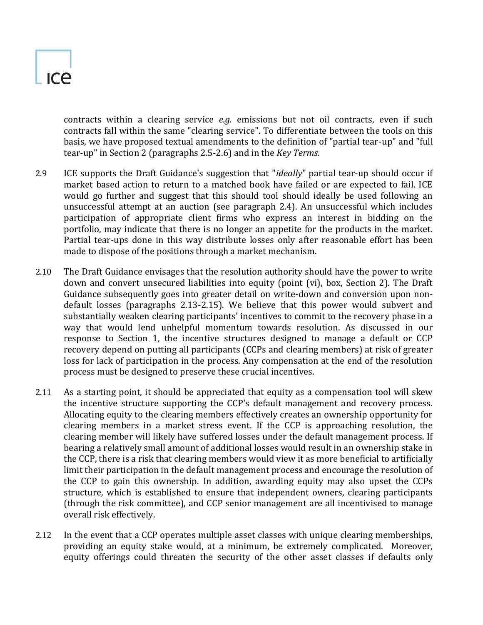contracts within a clearing service *e.g.* emissions but not oil contracts, even if such contracts fall within the same "clearing service". To differentiate between the tools on this basis, we have proposed textual amendments to the definition of "partial tear-up" and "full tear-up" in Section 2 (paragraphs 2.5-2.6) and in the *Key Terms*.

- 2.9 ICE supports the Draft Guidance's suggestion that "*ideally*" partial tear-up should occur if market based action to return to a matched book have failed or are expected to fail. ICE would go further and suggest that this should tool should ideally be used following an unsuccessful attempt at an auction (see paragraph 2.4). An unsuccessful which includes participation of appropriate client firms who express an interest in bidding on the portfolio, may indicate that there is no longer an appetite for the products in the market. Partial tear-ups done in this way distribute losses only after reasonable effort has been made to dispose of the positions through a market mechanism.
- 2.10 The Draft Guidance envisages that the resolution authority should have the power to write down and convert unsecured liabilities into equity (point (vi), box, Section 2). The Draft Guidance subsequently goes into greater detail on write-down and conversion upon nondefault losses (paragraphs 2.13-2.15). We believe that this power would subvert and substantially weaken clearing participants' incentives to commit to the recovery phase in a way that would lend unhelpful momentum towards resolution. As discussed in our response to Section 1, the incentive structures designed to manage a default or CCP recovery depend on putting all participants (CCPs and clearing members) at risk of greater loss for lack of participation in the process. Any compensation at the end of the resolution process must be designed to preserve these crucial incentives.
- 2.11 As a starting point, it should be appreciated that equity as a compensation tool will skew the incentive structure supporting the CCP's default management and recovery process. Allocating equity to the clearing members effectively creates an ownership opportunity for clearing members in a market stress event. If the CCP is approaching resolution, the clearing member will likely have suffered losses under the default management process. If bearing a relatively small amount of additional losses would result in an ownership stake in the CCP, there is a risk that clearing members would view it as more beneficial to artificially limit their participation in the default management process and encourage the resolution of the CCP to gain this ownership. In addition, awarding equity may also upset the CCPs structure, which is established to ensure that independent owners, clearing participants (through the risk committee), and CCP senior management are all incentivised to manage overall risk effectively.
- 2.12 In the event that a CCP operates multiple asset classes with unique clearing memberships, providing an equity stake would, at a minimum, be extremely complicated. Moreover, equity offerings could threaten the security of the other asset classes if defaults only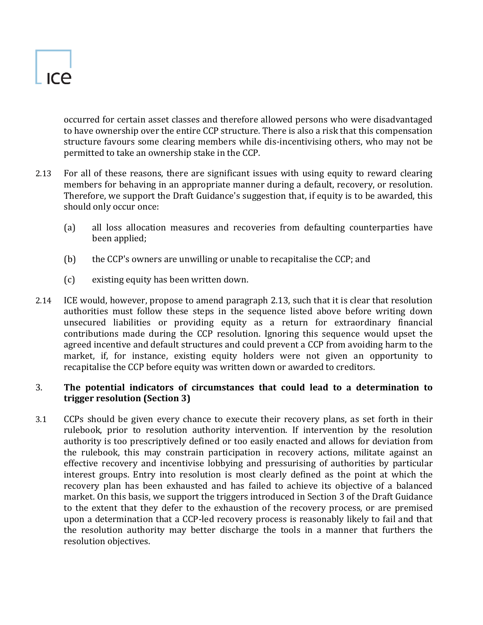

occurred for certain asset classes and therefore allowed persons who were disadvantaged to have ownership over the entire CCP structure. There is also a risk that this compensation structure favours some clearing members while dis-incentivising others, who may not be permitted to take an ownership stake in the CCP.

- 2.13 For all of these reasons, there are significant issues with using equity to reward clearing members for behaving in an appropriate manner during a default, recovery, or resolution. Therefore, we support the Draft Guidance's suggestion that, if equity is to be awarded, this should only occur once:
	- (a) all loss allocation measures and recoveries from defaulting counterparties have been applied;
	- (b) the CCP's owners are unwilling or unable to recapitalise the CCP; and
	- (c) existing equity has been written down.
- 2.14 ICE would, however, propose to amend paragraph 2.13, such that it is clear that resolution authorities must follow these steps in the sequence listed above before writing down unsecured liabilities or providing equity as a return for extraordinary financial contributions made during the CCP resolution. Ignoring this sequence would upset the agreed incentive and default structures and could prevent a CCP from avoiding harm to the market, if, for instance, existing equity holders were not given an opportunity to recapitalise the CCP before equity was written down or awarded to creditors.

# 3. **The potential indicators of circumstances that could lead to a determination to trigger resolution (Section 3)**

3.1 CCPs should be given every chance to execute their recovery plans, as set forth in their rulebook, prior to resolution authority intervention. If intervention by the resolution authority is too prescriptively defined or too easily enacted and allows for deviation from the rulebook, this may constrain participation in recovery actions, militate against an effective recovery and incentivise lobbying and pressurising of authorities by particular interest groups. Entry into resolution is most clearly defined as the point at which the recovery plan has been exhausted and has failed to achieve its objective of a balanced market. On this basis, we support the triggers introduced in Section 3 of the Draft Guidance to the extent that they defer to the exhaustion of the recovery process, or are premised upon a determination that a CCP-led recovery process is reasonably likely to fail and that the resolution authority may better discharge the tools in a manner that furthers the resolution objectives.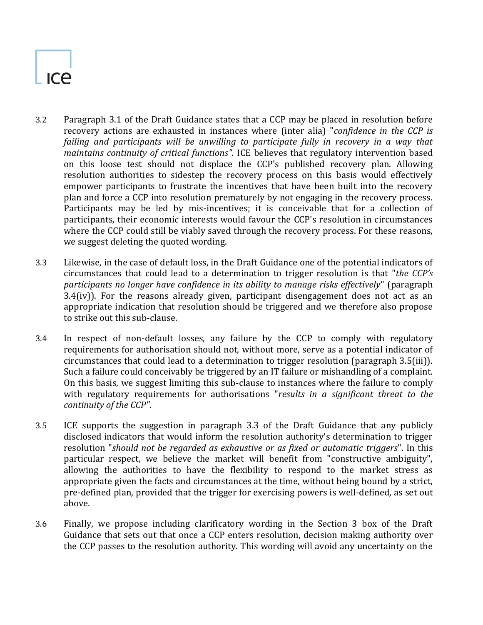- 3.2 Paragraph 3.1 of the Draft Guidance states that a CCP may be placed in resolution before recovery actions are exhausted in instances where (inter alia) "*confidence in the CCP is*  failing and participants will be unwilling to participate fully in recovery in a way that *maintains continuity of critical functions".* ICE believes that regulatory intervention based on this loose test should not displace the CCP's published recovery plan. Allowing resolution authorities to sidestep the recovery process on this basis would effectively empower participants to frustrate the incentives that have been built into the recovery plan and force a CCP into resolution prematurely by not engaging in the recovery process. Participants may be led by mis-incentives; it is conceivable that for a collection of participants, their economic interests would favour the CCP's resolution in circumstances where the CCP could still be viably saved through the recovery process. For these reasons, we suggest deleting the quoted wording.
- 3.3 Likewise, in the case of default loss, in the Draft Guidance one of the potential indicators of circumstances that could lead to a determination to trigger resolution is that "*the CCP's participants no longer have confidence in its ability to manage risks effectively*" (paragraph 3.4(iv)). For the reasons already given, participant disengagement does not act as an appropriate indication that resolution should be triggered and we therefore also propose to strike out this sub-clause.
- 3.4 In respect of non-default losses, any failure by the CCP to comply with regulatory requirements for authorisation should not, without more, serve as a potential indicator of circumstances that could lead to a determination to trigger resolution (paragraph 3.5(iii)). Such a failure could conceivably be triggered by an IT failure or mishandling of a complaint. On this basis, we suggest limiting this sub-clause to instances where the failure to comply with regulatory requirements for authorisations "*results in a significant threat to the continuity of the CCP"*.
- <span id="page-6-0"></span>3.5 ICE supports the suggestion in paragraph 3.3 of the Draft Guidance that any publicly disclosed indicators that would inform the resolution authority's determination to trigger resolution "*should not be regarded as exhaustive or as fixed or automatic triggers*". In this particular respect, we believe the market will benefit from "constructive ambiguity", allowing the authorities to have the flexibility to respond to the market stress as appropriate given the facts and circumstances at the time, without being bound by a strict, pre-defined plan, provided that the trigger for exercising powers is well-defined, as set out above.
- 3.6 Finally, we propose including clarificatory wording in the Section 3 box of the Draft Guidance that sets out that once a CCP enters resolution, decision making authority over the CCP passes to the resolution authority. This wording will avoid any uncertainty on the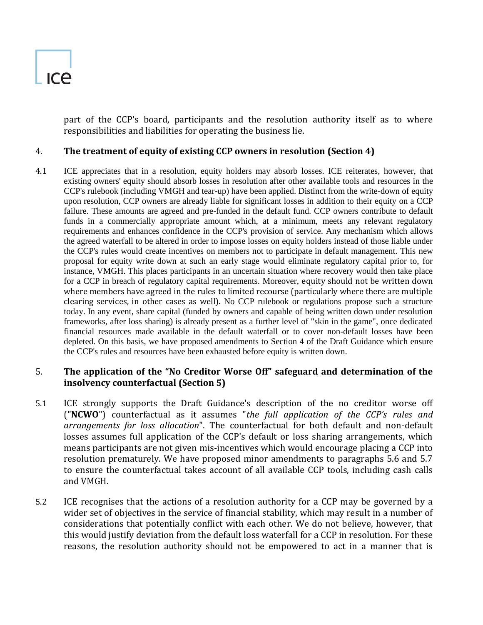part of the CCP's board, participants and the resolution authority itself as to where responsibilities and liabilities for operating the business lie.

# 4. **The treatment of equity of existing CCP owners in resolution (Section 4)**

4.1 ICE appreciates that in a resolution, equity holders may absorb losses. ICE reiterates, however, that existing owners' equity should absorb losses in resolution after other available tools and resources in the CCP's rulebook (including VMGH and tear-up) have been applied. Distinct from the write-down of equity upon resolution, CCP owners are already liable for significant losses in addition to their equity on a CCP failure. These amounts are agreed and pre-funded in the default fund. CCP owners contribute to default funds in a commercially appropriate amount which, at a minimum, meets any relevant regulatory requirements and enhances confidence in the CCP's provision of service. Any mechanism which allows the agreed waterfall to be altered in order to impose losses on equity holders instead of those liable under the CCP's rules would create incentives on members not to participate in default management. This new proposal for equity write down at such an early stage would eliminate regulatory capital prior to, for instance, VMGH. This places participants in an uncertain situation where recovery would then take place for a CCP in breach of regulatory capital requirements. Moreover, equity should not be written down where members have agreed in the rules to limited recourse (particularly where there are multiple clearing services, in other cases as well). No CCP rulebook or regulations propose such a structure today. In any event, share capital (funded by owners and capable of being written down under resolution frameworks, after loss sharing) is already present as a further level of "skin in the game", once dedicated financial resources made available in the default waterfall or to cover non-default losses have been depleted. On this basis, we have proposed amendments to Section 4 of the Draft Guidance which ensure the CCP's rules and resources have been exhausted before equity is written down.

# 5. **The application of the "No Creditor Worse Off" safeguard and determination of the insolvency counterfactual (Section 5)**

- 5.1 ICE strongly supports the Draft Guidance's description of the no creditor worse off ("**NCWO**") counterfactual as it assumes "*the full application of the CCP's rules and arrangements for loss allocation*". The counterfactual for both default and non-default losses assumes full application of the CCP's default or loss sharing arrangements, which means participants are not given mis-incentives which would encourage placing a CCP into resolution prematurely. We have proposed minor amendments to paragraphs 5.6 and 5.7 to ensure the counterfactual takes account of all available CCP tools, including cash calls and VMGH.
- 5.2 ICE recognises that the actions of a resolution authority for a CCP may be governed by a wider set of objectives in the service of financial stability, which may result in a number of considerations that potentially conflict with each other. We do not believe, however, that this would justify deviation from the default loss waterfall for a CCP in resolution. For these reasons, the resolution authority should not be empowered to act in a manner that is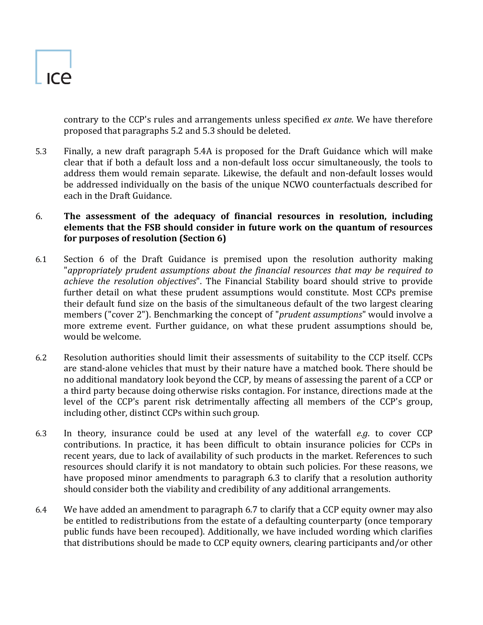contrary to the CCP's rules and arrangements unless specified *ex ante*. We have therefore proposed that paragraphs 5.2 and 5.3 should be deleted.

5.3 Finally, a new draft paragraph 5.4A is proposed for the Draft Guidance which will make clear that if both a default loss and a non-default loss occur simultaneously, the tools to address them would remain separate. Likewise, the default and non-default losses would be addressed individually on the basis of the unique NCWO counterfactuals described for each in the Draft Guidance.

# 6. **The assessment of the adequacy of financial resources in resolution, including elements that the FSB should consider in future work on the quantum of resources for purposes of resolution (Section 6)**

- 6.1 Section 6 of the Draft Guidance is premised upon the resolution authority making "*appropriately prudent assumptions about the financial resources that may be required to achieve the resolution objectives*". The Financial Stability board should strive to provide further detail on what these prudent assumptions would constitute. Most CCPs premise their default fund size on the basis of the simultaneous default of the two largest clearing members ("cover 2"). Benchmarking the concept of "*prudent assumptions*" would involve a more extreme event. Further guidance, on what these prudent assumptions should be, would be welcome.
- 6.2 Resolution authorities should limit their assessments of suitability to the CCP itself. CCPs are stand-alone vehicles that must by their nature have a matched book. There should be no additional mandatory look beyond the CCP, by means of assessing the parent of a CCP or a third party because doing otherwise risks contagion. For instance, directions made at the level of the CCP's parent risk detrimentally affecting all members of the CCP's group, including other, distinct CCPs within such group.
- 6.3 In theory, insurance could be used at any level of the waterfall *e.g*. to cover CCP contributions. In practice, it has been difficult to obtain insurance policies for CCPs in recent years, due to lack of availability of such products in the market. References to such resources should clarify it is not mandatory to obtain such policies. For these reasons, we have proposed minor amendments to paragraph 6.3 to clarify that a resolution authority should consider both the viability and credibility of any additional arrangements.
- 6.4 We have added an amendment to paragraph 6.7 to clarify that a CCP equity owner may also be entitled to redistributions from the estate of a defaulting counterparty (once temporary public funds have been recouped). Additionally, we have included wording which clarifies that distributions should be made to CCP equity owners, clearing participants and/or other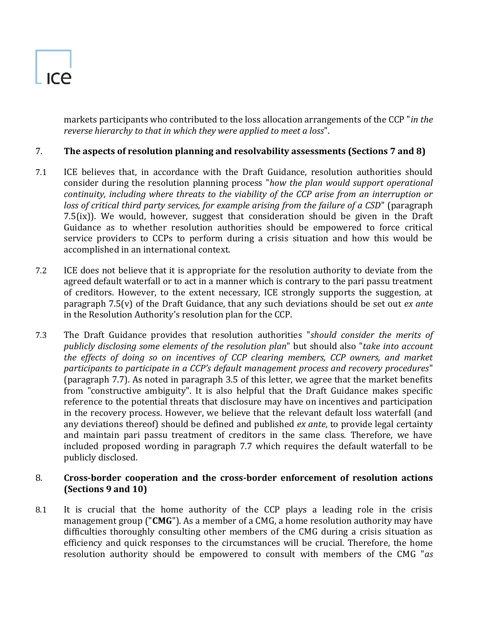markets participants who contributed to the loss allocation arrangements of the CCP "*in the reverse hierarchy to that in which they were applied to meet a loss*".

# 7. **The aspects of resolution planning and resolvability assessments (Sections 7 and 8)**

- 7.1 ICE believes that, in accordance with the Draft Guidance, resolution authorities should consider during the resolution planning process "*how the plan would support operational continuity, including where threats to the viability of the CCP arise from an interruption or loss of critical third party services, for example arising from the failure of a CSD*" (paragraph 7.5(ix)). We would, however, suggest that consideration should be given in the Draft Guidance as to whether resolution authorities should be empowered to force critical service providers to CCPs to perform during a crisis situation and how this would be accomplished in an international context.
- 7.2 ICE does not believe that it is appropriate for the resolution authority to deviate from the agreed default waterfall or to act in a manner which is contrary to the pari passu treatment of creditors. However, to the extent necessary, ICE strongly supports the suggestion, at paragraph 7.5(v) of the Draft Guidance, that any such deviations should be set out *ex ante* in the Resolution Authority's resolution plan for the CCP.
- 7.3 The Draft Guidance provides that resolution authorities "*should consider the merits of publicly disclosing some elements of the resolution plan*" but should also "*take into account the effects of doing so on incentives of CCP clearing members, CCP owners, and market participants to participate in a CCP's default management process and recovery procedures*" (paragraph 7.7). As noted in paragraph [3.5](#page-6-0) of this letter, we agree that the market benefits from "constructive ambiguity". It is also helpful that the Draft Guidance makes specific reference to the potential threats that disclosure may have on incentives and participation in the recovery process. However, we believe that the relevant default loss waterfall (and any deviations thereof) should be defined and published *ex ante*, to provide legal certainty and maintain pari passu treatment of creditors in the same class. Therefore, we have included proposed wording in paragraph 7.7 which requires the default waterfall to be publicly disclosed.

## 8. **Cross-border cooperation and the cross-border enforcement of resolution actions (Sections 9 and 10)**

8.1 It is crucial that the home authority of the CCP plays a leading role in the crisis management group ("**CMG**"). As a member of a CMG, a home resolution authority may have difficulties thoroughly consulting other members of the CMG during a crisis situation as efficiency and quick responses to the circumstances will be crucial. Therefore, the home resolution authority should be empowered to consult with members of the CMG "*as*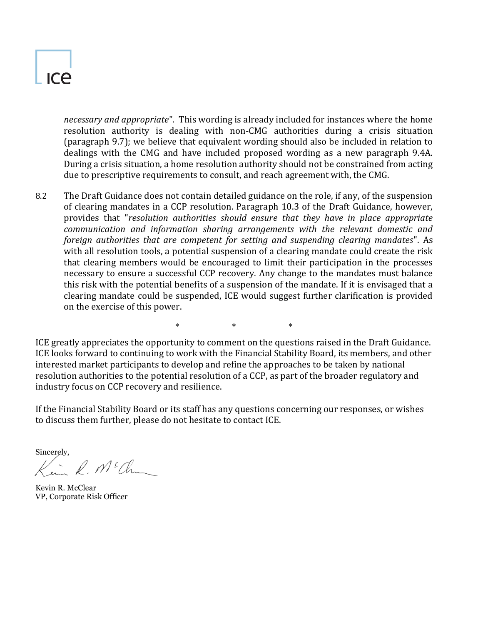# ICA

*necessary and appropriate*". This wording is already included for instances where the home resolution authority is dealing with non-CMG authorities during a crisis situation (paragraph 9.7); we believe that equivalent wording should also be included in relation to dealings with the CMG and have included proposed wording as a new paragraph 9.4A. During a crisis situation, a home resolution authority should not be constrained from acting due to prescriptive requirements to consult, and reach agreement with, the CMG.

8.2 The Draft Guidance does not contain detailed guidance on the role, if any, of the suspension of clearing mandates in a CCP resolution. Paragraph 10.3 of the Draft Guidance, however, provides that "*resolution authorities should ensure that they have in place appropriate communication and information sharing arrangements with the relevant domestic and foreign authorities that are competent for setting and suspending clearing mandates*". As with all resolution tools, a potential suspension of a clearing mandate could create the risk that clearing members would be encouraged to limit their participation in the processes necessary to ensure a successful CCP recovery. Any change to the mandates must balance this risk with the potential benefits of a suspension of the mandate. If it is envisaged that a clearing mandate could be suspended, ICE would suggest further clarification is provided on the exercise of this power.

\* \* \* \* \*

ICE greatly appreciates the opportunity to comment on the questions raised in the Draft Guidance. ICE looks forward to continuing to work with the Financial Stability Board, its members, and other interested market participants to develop and refine the approaches to be taken by national resolution authorities to the potential resolution of a CCP, as part of the broader regulatory and industry focus on CCP recovery and resilience.

If the Financial Stability Board or its staff has any questions concerning our responses, or wishes to discuss them further, please do not hesitate to contact ICE.

Sincerely,  $\ell$ ,  $M^s$ Changel

Kevin R. McClear VP, Corporate Risk Officer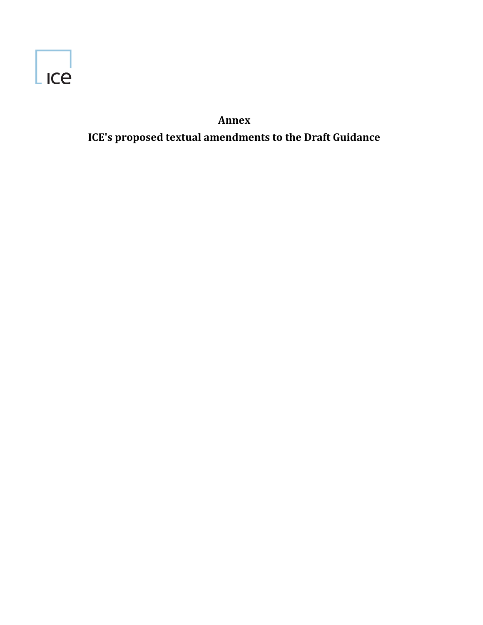

**Annex ICE's proposed textual amendments to the Draft Guidance**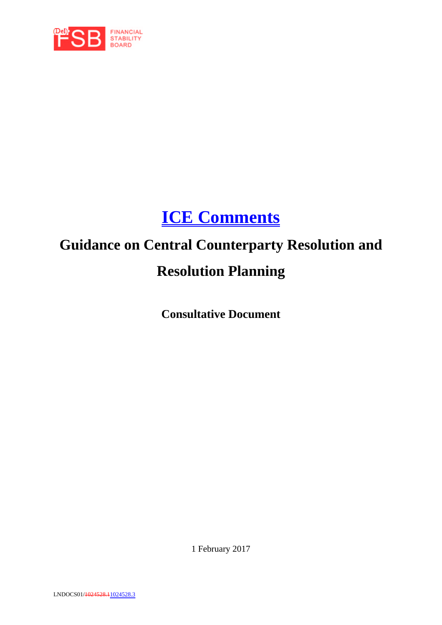

# **ICE Comments**

# **Guidance on Central Counterparty Resolution and Resolution Planning**

**Consultative Document** 

1 February 2017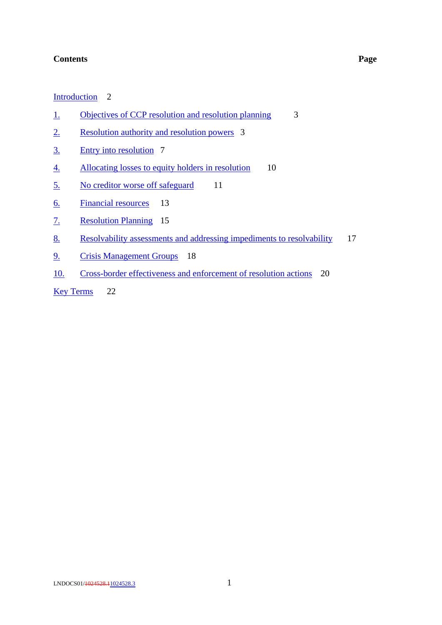#### **Contents Page**

#### Introduction 2

- 1. Objectives of CCP resolution and resolution planning 3
- 2. Resolution authority and resolution powers 3
- 3. Entry into resolution 7
- 4. Allocating losses to equity holders in resolution 10
- 5. No creditor worse off safeguard 11
- 6. Financial resources 13
- 7. Resolution Planning 15
- 8. Resolvability assessments and addressing impediments to resolvability 17
- 9. Crisis Management Groups 18
- 10. Cross-border effectiveness and enforcement of resolution actions 20

Key Terms 22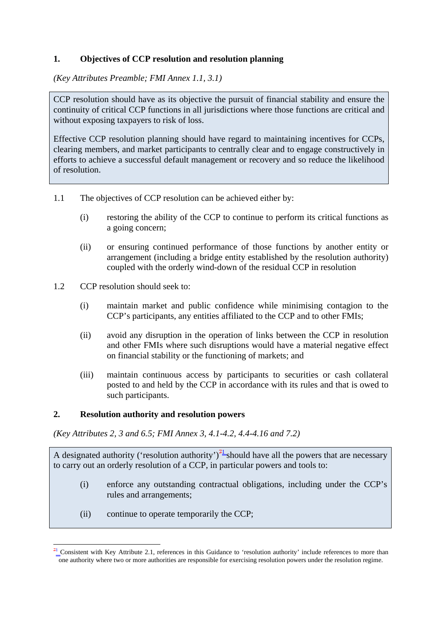# **1. Objectives of CCP resolution and resolution planning**

*(Key Attributes Preamble; FMI Annex 1.1, 3.1)* 

CCP resolution should have as its objective the pursuit of financial stability and ensure the continuity of critical CCP functions in all jurisdictions where those functions are critical and without exposing taxpayers to risk of loss.

Effective CCP resolution planning should have regard to maintaining incentives for CCPs, clearing members, and market participants to centrally clear and to engage constructively in efforts to achieve a successful default management or recovery and so reduce the likelihood of resolution.

- 1.1 The objectives of CCP resolution can be achieved either by:
	- (i) restoring the ability of the CCP to continue to perform its critical functions as a going concern;
	- (ii) or ensuring continued performance of those functions by another entity or arrangement (including a bridge entity established by the resolution authority) coupled with the orderly wind-down of the residual CCP in resolution
- 1.2 CCP resolution should seek to:
	- (i) maintain market and public confidence while minimising contagion to the CCP's participants, any entities affiliated to the CCP and to other FMIs;
	- (ii) avoid any disruption in the operation of links between the CCP in resolution and other FMIs where such disruptions would have a material negative effect on financial stability or the functioning of markets; and
	- (iii) maintain continuous access by participants to securities or cash collateral posted to and held by the CCP in accordance with its rules and that is owed to such participants.

#### **2. Resolution authority and resolution powers**

*(Key Attributes 2, 3 and 6.5; FMI Annex 3, 4.1-4.2, 4.4-4.16 and 7.2)* 

A designated authority ('resolution authority')<sup>71</sup> should have all the powers that are necessary to carry out an orderly resolution of a CCP, in particular powers and tools to:

- (i) enforce any outstanding contractual obligations, including under the CCP's rules and arrangements;
- (ii) continue to operate temporarily the CCP;

<sup>&</sup>lt;u>.</u>  $7<sup>1</sup>$  Consistent with Key Attribute 2.1, references in this Guidance to 'resolution authority' include references to more than one authority where two or more authorities are responsible for exercising resolution powers under the resolution regime.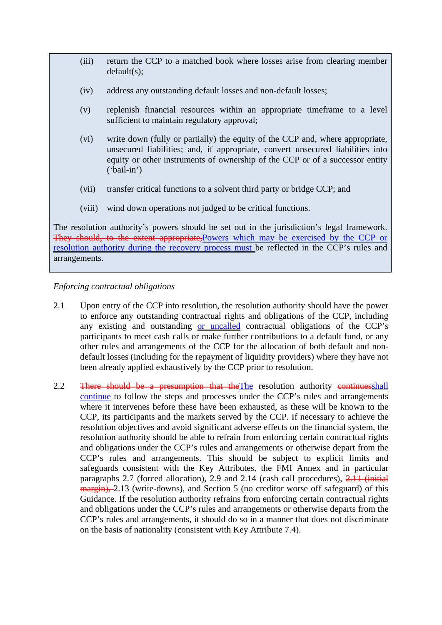- (iii) return the CCP to a matched book where losses arise from clearing member default(s);
- (iv) address any outstanding default losses and non-default losses;
- (v) replenish financial resources within an appropriate timeframe to a level sufficient to maintain regulatory approval;
- (vi) write down (fully or partially) the equity of the CCP and, where appropriate, unsecured liabilities; and, if appropriate, convert unsecured liabilities into equity or other instruments of ownership of the CCP or of a successor entity ('bail-in')
- (vii) transfer critical functions to a solvent third party or bridge CCP; and
- (viii) wind down operations not judged to be critical functions.

The resolution authority's powers should be set out in the jurisdiction's legal framework. They should, to the extent appropriate, Powers which may be exercised by the CCP or resolution authority during the recovery process must be reflected in the CCP's rules and arrangements.

#### *Enforcing contractual obligations*

- 2.1 Upon entry of the CCP into resolution, the resolution authority should have the power to enforce any outstanding contractual rights and obligations of the CCP, including any existing and outstanding or uncalled contractual obligations of the CCP's participants to meet cash calls or make further contributions to a default fund, or any other rules and arrangements of the CCP for the allocation of both default and nondefault losses (including for the repayment of liquidity providers) where they have not been already applied exhaustively by the CCP prior to resolution.
- 2.2 There should be a presumption that the The resolution authority continuesshall continue to follow the steps and processes under the CCP's rules and arrangements where it intervenes before these have been exhausted, as these will be known to the CCP, its participants and the markets served by the CCP. If necessary to achieve the resolution objectives and avoid significant adverse effects on the financial system, the resolution authority should be able to refrain from enforcing certain contractual rights and obligations under the CCP's rules and arrangements or otherwise depart from the CCP's rules and arrangements. This should be subject to explicit limits and safeguards consistent with the Key Attributes, the FMI Annex and in particular paragraphs 2.7 (forced allocation), 2.9 and 2.14 (cash call procedures), 2.11 (initial margin), 2.13 (write-downs), and Section 5 (no creditor worse off safeguard) of this Guidance. If the resolution authority refrains from enforcing certain contractual rights and obligations under the CCP's rules and arrangements or otherwise departs from the CCP's rules and arrangements, it should do so in a manner that does not discriminate on the basis of nationality (consistent with Key Attribute 7.4).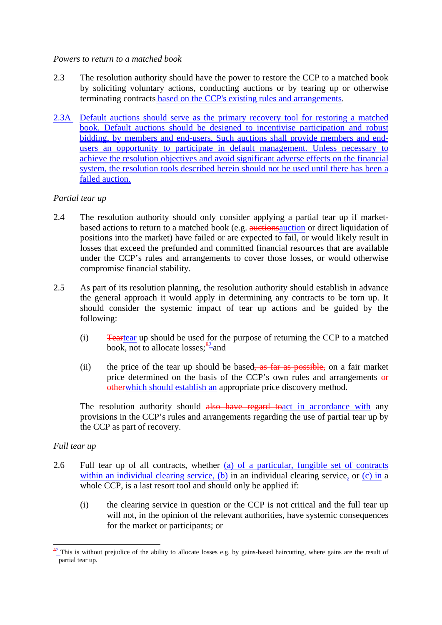#### *Powers to return to a matched book*

- 2.3 The resolution authority should have the power to restore the CCP to a matched book by soliciting voluntary actions, conducting auctions or by tearing up or otherwise terminating contracts based on the CCP's existing rules and arrangements.
- 2.3A Default auctions should serve as the primary recovery tool for restoring a matched book. Default auctions should be designed to incentivise participation and robust bidding, by members and end-users. Such auctions shall provide members and endusers an opportunity to participate in default management. Unless necessary to achieve the resolution objectives and avoid significant adverse effects on the financial system, the resolution tools described herein should not be used until there has been a failed auction.

## *Partial tear up*

- 2.4 The resolution authority should only consider applying a partial tear up if marketbased actions to return to a matched book (e.g. auctions auction or direct liquidation of positions into the market) have failed or are expected to fail, or would likely result in losses that exceed the prefunded and committed financial resources that are available under the CCP's rules and arrangements to cover those losses, or would otherwise compromise financial stability.
- 2.5 As part of its resolution planning, the resolution authority should establish in advance the general approach it would apply in determining any contracts to be torn up. It should consider the systemic impact of tear up actions and be guided by the following:
	- (i) Teartear up should be used for the purpose of returning the CCP to a matched book, not to allocate losses;  $\frac{82}{2}$  and
	- (ii) the price of the tear up should be based, as far as possible, on a fair market price determined on the basis of the CCP's own rules and arrangements or otherwhich should establish an appropriate price discovery method.

The resolution authority should also have regard to act in accordance with any provisions in the CCP's rules and arrangements regarding the use of partial tear up by the CCP as part of recovery.

## *Full tear up*

- 2.6 Full tear up of all contracts, whether (a) of a particular, fungible set of contracts within an individual clearing service, (b) in an individual clearing service, or (c) in a whole CCP, is a last resort tool and should only be applied if:
	- (i) the clearing service in question or the CCP is not critical and the full tear up will not, in the opinion of the relevant authorities, have systemic consequences for the market or participants; or

<sup>&</sup>lt;u>.</u>  $\frac{82}{10}$  This is without prejudice of the ability to allocate losses e.g. by gains-based haircutting, where gains are the result of partial tear up.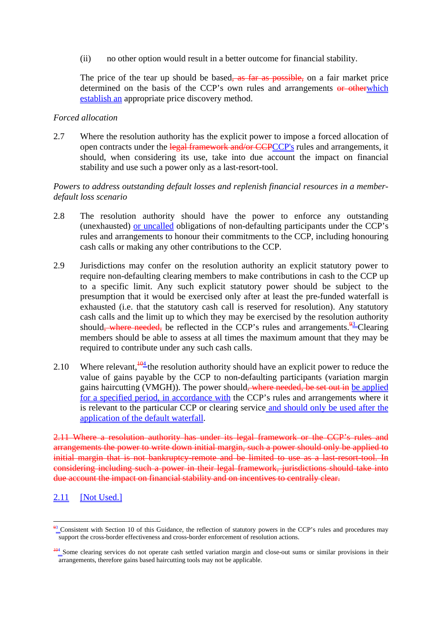(ii) no other option would result in a better outcome for financial stability.

The price of the tear up should be based, as far as possible, on a fair market price determined on the basis of the CCP's own rules and arrangements or otherwhich establish an appropriate price discovery method.

#### *Forced allocation*

2.7 Where the resolution authority has the explicit power to impose a forced allocation of open contracts under the legal framework and/or CCPCCP's rules and arrangements, it should, when considering its use, take into due account the impact on financial stability and use such a power only as a last-resort-tool.

#### *Powers to address outstanding default losses and replenish financial resources in a memberdefault loss scenario*

- 2.8 The resolution authority should have the power to enforce any outstanding (unexhausted) or uncalled obligations of non-defaulting participants under the CCP's rules and arrangements to honour their commitments to the CCP, including honouring cash calls or making any other contributions to the CCP.
- 2.9 Jurisdictions may confer on the resolution authority an explicit statutory power to require non-defaulting clearing members to make contributions in cash to the CCP up to a specific limit. Any such explicit statutory power should be subject to the presumption that it would be exercised only after at least the pre-funded waterfall is exhausted (i.e. that the statutory cash call is reserved for resolution). Any statutory cash calls and the limit up to which they may be exercised by the resolution authority should<del>, where needed,</del> be reflected in the CCP's rules and arrangements.<sup>93</sup> Clearing members should be able to assess at all times the maximum amount that they may be required to contribute under any such cash calls.
- 2.10 Where relevant,  $\frac{104}{4}$  the resolution authority should have an explicit power to reduce the value of gains payable by the CCP to non-defaulting participants (variation margin gains haircutting (VMGH)). The power should, where needed, be set out in be applied for a specified period, in accordance with the CCP's rules and arrangements where it is relevant to the particular CCP or clearing service and should only be used after the application of the default waterfall.

2.11 Where a resolution authority has under its legal framework or the CCP's rules and arrangements the power to write down initial margin, such a power should only be applied to initial margin that is not bankruptcy-remote and be limited to use as a last-resort-tool. In considering including such a power in their legal framework, jurisdictions should take into due account the impact on financial stability and on incentives to centrally clear.

# 2.11 [Not Used.]

<u>.</u>

 $93$  Consistent with Section 10 of this Guidance, the reflection of statutory powers in the CCP's rules and procedures may support the cross-border effectiveness and cross-border enforcement of resolution actions.

<sup>&</sup>lt;sup>104</sup> Some clearing services do not operate cash settled variation margin and close-out sums or similar provisions in their arrangements, therefore gains based haircutting tools may not be applicable.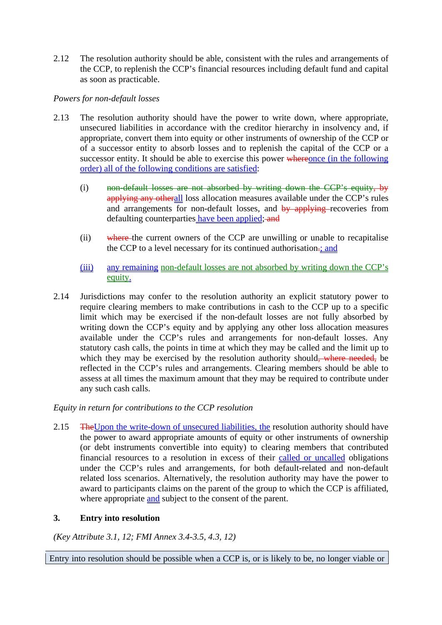2.12 The resolution authority should be able, consistent with the rules and arrangements of the CCP, to replenish the CCP's financial resources including default fund and capital as soon as practicable.

## *Powers for non-default losses*

- 2.13 The resolution authority should have the power to write down, where appropriate, unsecured liabilities in accordance with the creditor hierarchy in insolvency and, if appropriate, convert them into equity or other instruments of ownership of the CCP or of a successor entity to absorb losses and to replenish the capital of the CCP or a successor entity. It should be able to exercise this power whereonce (in the following order) all of the following conditions are satisfied:
	- (i) non-default losses are not absorbed by writing down the CCP's equity, by applying any otherall loss allocation measures available under the CCP's rules and arrangements for non-default losses, and by applying recoveries from defaulting counterparties have been applied; and
	- (ii) where the current owners of the CCP are unwilling or unable to recapitalise the CCP to a level necessary for its continued authorisation.; and
	- (iii) any remaining non-default losses are not absorbed by writing down the CCP's equity.
- 2.14 Jurisdictions may confer to the resolution authority an explicit statutory power to require clearing members to make contributions in cash to the CCP up to a specific limit which may be exercised if the non-default losses are not fully absorbed by writing down the CCP's equity and by applying any other loss allocation measures available under the CCP's rules and arrangements for non-default losses. Any statutory cash calls, the points in time at which they may be called and the limit up to which they may be exercised by the resolution authority should, where needed, be reflected in the CCP's rules and arrangements. Clearing members should be able to assess at all times the maximum amount that they may be required to contribute under any such cash calls.

## *Equity in return for contributions to the CCP resolution*

2.15 The Upon the write-down of unsecured liabilities, the resolution authority should have the power to award appropriate amounts of equity or other instruments of ownership (or debt instruments convertible into equity) to clearing members that contributed financial resources to a resolution in excess of their called or uncalled obligations under the CCP's rules and arrangements, for both default-related and non-default related loss scenarios. Alternatively, the resolution authority may have the power to award to participants claims on the parent of the group to which the CCP is affiliated, where appropriate and subject to the consent of the parent.

## **3. Entry into resolution**

*(Key Attribute 3.1, 12; FMI Annex 3.4-3.5, 4.3, 12)* 

Entry into resolution should be possible when a CCP is, or is likely to be, no longer viable or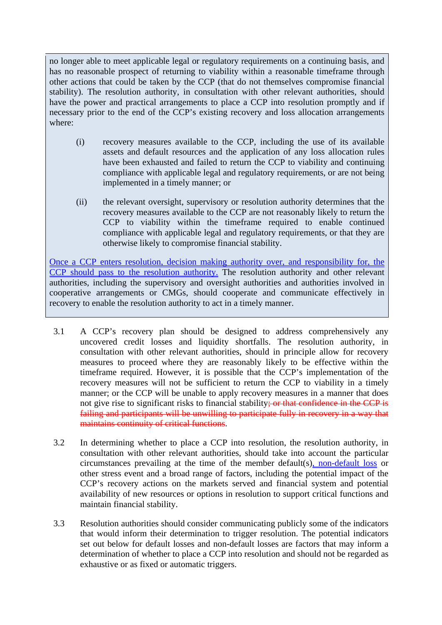no longer able to meet applicable legal or regulatory requirements on a continuing basis, and has no reasonable prospect of returning to viability within a reasonable timeframe through other actions that could be taken by the CCP (that do not themselves compromise financial stability). The resolution authority, in consultation with other relevant authorities, should have the power and practical arrangements to place a CCP into resolution promptly and if necessary prior to the end of the CCP's existing recovery and loss allocation arrangements where:

- (i) recovery measures available to the CCP, including the use of its available assets and default resources and the application of any loss allocation rules have been exhausted and failed to return the CCP to viability and continuing compliance with applicable legal and regulatory requirements, or are not being implemented in a timely manner; or
- (ii) the relevant oversight, supervisory or resolution authority determines that the recovery measures available to the CCP are not reasonably likely to return the CCP to viability within the timeframe required to enable continued compliance with applicable legal and regulatory requirements, or that they are otherwise likely to compromise financial stability.

Once a CCP enters resolution, decision making authority over, and responsibility for, the CCP should pass to the resolution authority. The resolution authority and other relevant authorities, including the supervisory and oversight authorities and authorities involved in cooperative arrangements or CMGs, should cooperate and communicate effectively in recovery to enable the resolution authority to act in a timely manner.

- 3.1 A CCP's recovery plan should be designed to address comprehensively any uncovered credit losses and liquidity shortfalls. The resolution authority, in consultation with other relevant authorities, should in principle allow for recovery measures to proceed where they are reasonably likely to be effective within the timeframe required. However, it is possible that the CCP's implementation of the recovery measures will not be sufficient to return the CCP to viability in a timely manner; or the CCP will be unable to apply recovery measures in a manner that does not give rise to significant risks to financial stability; or that confidence in the CCP is failing and participants will be unwilling to participate fully in recovery in a way that maintains continuity of critical functions.
- 3.2 In determining whether to place a CCP into resolution, the resolution authority, in consultation with other relevant authorities, should take into account the particular circumstances prevailing at the time of the member default(s), non-default loss or other stress event and a broad range of factors, including the potential impact of the CCP's recovery actions on the markets served and financial system and potential availability of new resources or options in resolution to support critical functions and maintain financial stability.
- 3.3 Resolution authorities should consider communicating publicly some of the indicators that would inform their determination to trigger resolution. The potential indicators set out below for default losses and non-default losses are factors that may inform a determination of whether to place a CCP into resolution and should not be regarded as exhaustive or as fixed or automatic triggers.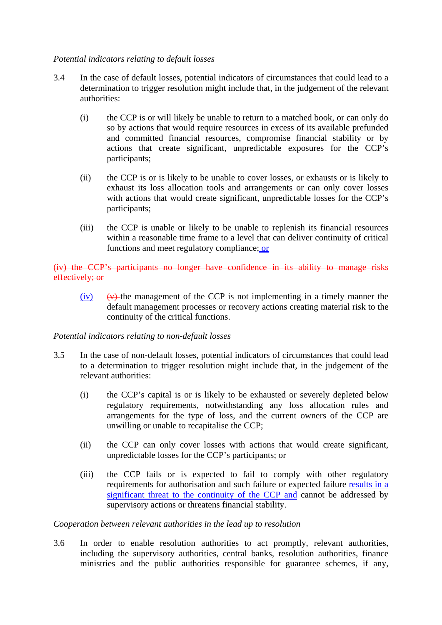## *Potential indicators relating to default losses*

- 3.4 In the case of default losses, potential indicators of circumstances that could lead to a determination to trigger resolution might include that, in the judgement of the relevant authorities:
	- (i) the CCP is or will likely be unable to return to a matched book, or can only do so by actions that would require resources in excess of its available prefunded and committed financial resources, compromise financial stability or by actions that create significant, unpredictable exposures for the CCP's participants;
	- (ii) the CCP is or is likely to be unable to cover losses, or exhausts or is likely to exhaust its loss allocation tools and arrangements or can only cover losses with actions that would create significant, unpredictable losses for the CCP's participants;
	- (iii) the CCP is unable or likely to be unable to replenish its financial resources within a reasonable time frame to a level that can deliver continuity of critical functions and meet regulatory compliance; or

## (iv) the CCP's participants no longer have confidence in its ability to manage risks effectively; or

 $(iv)$  (v) the management of the CCP is not implementing in a timely manner the default management processes or recovery actions creating material risk to the continuity of the critical functions.

## *Potential indicators relating to non-default losses*

- 3.5 In the case of non-default losses, potential indicators of circumstances that could lead to a determination to trigger resolution might include that, in the judgement of the relevant authorities:
	- (i) the CCP's capital is or is likely to be exhausted or severely depleted below regulatory requirements, notwithstanding any loss allocation rules and arrangements for the type of loss, and the current owners of the CCP are unwilling or unable to recapitalise the CCP;
	- (ii) the CCP can only cover losses with actions that would create significant, unpredictable losses for the CCP's participants; or
	- (iii) the CCP fails or is expected to fail to comply with other regulatory requirements for authorisation and such failure or expected failure results in a significant threat to the continuity of the CCP and cannot be addressed by supervisory actions or threatens financial stability.

#### *Cooperation between relevant authorities in the lead up to resolution*

3.6 In order to enable resolution authorities to act promptly, relevant authorities, including the supervisory authorities, central banks, resolution authorities, finance ministries and the public authorities responsible for guarantee schemes, if any,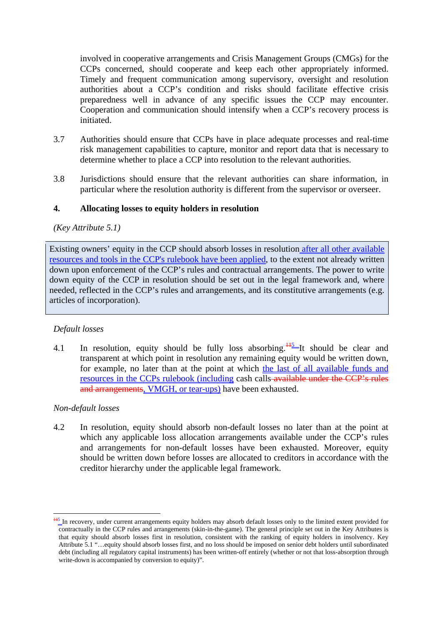involved in cooperative arrangements and Crisis Management Groups (CMGs) for the CCPs concerned, should cooperate and keep each other appropriately informed. Timely and frequent communication among supervisory, oversight and resolution authorities about a CCP's condition and risks should facilitate effective crisis preparedness well in advance of any specific issues the CCP may encounter. Cooperation and communication should intensify when a CCP's recovery process is initiated.

- 3.7 Authorities should ensure that CCPs have in place adequate processes and real-time risk management capabilities to capture, monitor and report data that is necessary to determine whether to place a CCP into resolution to the relevant authorities.
- 3.8 Jurisdictions should ensure that the relevant authorities can share information, in particular where the resolution authority is different from the supervisor or overseer.

#### **4. Allocating losses to equity holders in resolution**

#### *(Key Attribute 5.1)*

Existing owners' equity in the CCP should absorb losses in resolution after all other available resources and tools in the CCP's rulebook have been applied, to the extent not already written down upon enforcement of the CCP's rules and contractual arrangements. The power to write down equity of the CCP in resolution should be set out in the legal framework and, where needed, reflected in the CCP's rules and arrangements, and its constitutive arrangements (e.g. articles of incorporation).

#### *Default losses*

4.1 In resolution, equity should be fully loss absorbing.<sup> $\frac{115}{12}$ </sup> It should be clear and transparent at which point in resolution any remaining equity would be written down, for example, no later than at the point at which the last of all available funds and resources in the CCPs rulebook (including cash calls available under the CCP's rules and arrangements, VMGH, or tear-ups) have been exhausted.

#### *Non-default losses*

1

4.2 In resolution, equity should absorb non-default losses no later than at the point at which any applicable loss allocation arrangements available under the CCP's rules and arrangements for non-default losses have been exhausted. Moreover, equity should be written down before losses are allocated to creditors in accordance with the creditor hierarchy under the applicable legal framework.

<sup>&</sup>lt;sup>115</sup> In recovery, under current arrangements equity holders may absorb default losses only to the limited extent provided for contractually in the CCP rules and arrangements (skin-in-the-game). The general principle set out in the Key Attributes is that equity should absorb losses first in resolution, consistent with the ranking of equity holders in insolvency. Key Attribute 5.1 "…equity should absorb losses first, and no loss should be imposed on senior debt holders until subordinated debt (including all regulatory capital instruments) has been written-off entirely (whether or not that loss-absorption through write-down is accompanied by conversion to equity)".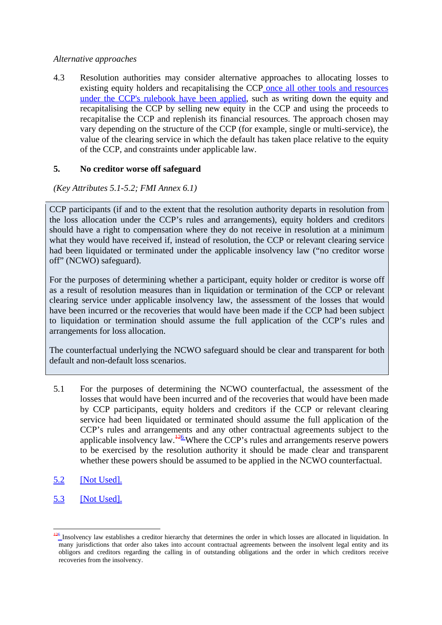#### *Alternative approaches*

4.3 Resolution authorities may consider alternative approaches to allocating losses to existing equity holders and recapitalising the CCP once all other tools and resources under the CCP's rulebook have been applied, such as writing down the equity and recapitalising the CCP by selling new equity in the CCP and using the proceeds to recapitalise the CCP and replenish its financial resources. The approach chosen may vary depending on the structure of the CCP (for example, single or multi-service), the value of the clearing service in which the default has taken place relative to the equity of the CCP, and constraints under applicable law.

## **5. No creditor worse off safeguard**

*(Key Attributes 5.1-5.2; FMI Annex 6.1)* 

CCP participants (if and to the extent that the resolution authority departs in resolution from the loss allocation under the CCP's rules and arrangements), equity holders and creditors should have a right to compensation where they do not receive in resolution at a minimum what they would have received if, instead of resolution, the CCP or relevant clearing service had been liquidated or terminated under the applicable insolvency law ("no creditor worse off" (NCWO) safeguard).

For the purposes of determining whether a participant, equity holder or creditor is worse off as a result of resolution measures than in liquidation or termination of the CCP or relevant clearing service under applicable insolvency law, the assessment of the losses that would have been incurred or the recoveries that would have been made if the CCP had been subject to liquidation or termination should assume the full application of the CCP's rules and arrangements for loss allocation.

The counterfactual underlying the NCWO safeguard should be clear and transparent for both default and non-default loss scenarios.

- 5.1 For the purposes of determining the NCWO counterfactual, the assessment of the losses that would have been incurred and of the recoveries that would have been made by CCP participants, equity holders and creditors if the CCP or relevant clearing service had been liquidated or terminated should assume the full application of the CCP's rules and arrangements and any other contractual agreements subject to the applicable insolvency law.<sup>126</sup> Where the CCP's rules and arrangements reserve powers to be exercised by the resolution authority it should be made clear and transparent whether these powers should be assumed to be applied in the NCWO counterfactual.
- 5.2 [Not Used].
- 5.3 [Not Used].

<sup>1</sup>  $\frac{126}{5}$  Insolvency law establishes a creditor hierarchy that determines the order in which losses are allocated in liquidation. In many jurisdictions that order also takes into account contractual agreements between the insolvent legal entity and its obligors and creditors regarding the calling in of outstanding obligations and the order in which creditors receive recoveries from the insolvency.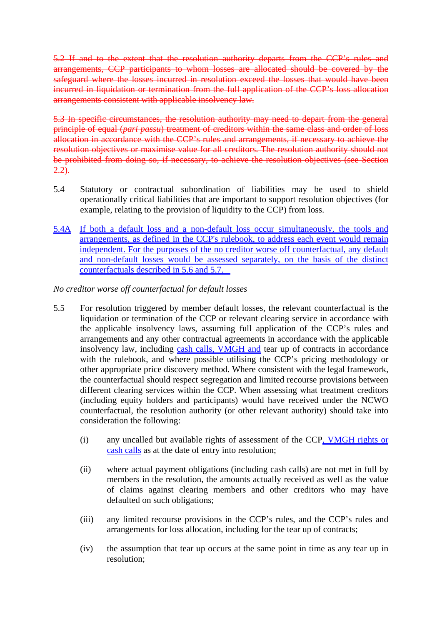5.2 If and to the extent that the resolution authority departs from the CCP's rules and arrangements, CCP participants to whom losses are allocated should be covered by the safeguard where the losses incurred in resolution exceed the losses that would have been incurred in liquidation or termination from the full application of the CCP's loss allocation arrangements consistent with applicable insolvency law.

5.3 In specific circumstances, the resolution authority may need to depart from the general principle of equal (*pari passu*) treatment of creditors within the same class and order of loss allocation in accordance with the CCP's rules and arrangements, if necessary to achieve the resolution objectives or maximise value for all creditors. The resolution authority should not be prohibited from doing so, if necessary, to achieve the resolution objectives (see Section  $2.2$ ).

- 5.4 Statutory or contractual subordination of liabilities may be used to shield operationally critical liabilities that are important to support resolution objectives (for example, relating to the provision of liquidity to the CCP) from loss.
- 5.4A If both a default loss and a non-default loss occur simultaneously, the tools and arrangements, as defined in the CCP's rulebook, to address each event would remain independent. For the purposes of the no creditor worse off counterfactual, any default and non-default losses would be assessed separately, on the basis of the distinct counterfactuals described in 5.6 and 5.7.

*No creditor worse off counterfactual for default losses* 

- 5.5 For resolution triggered by member default losses, the relevant counterfactual is the liquidation or termination of the CCP or relevant clearing service in accordance with the applicable insolvency laws, assuming full application of the CCP's rules and arrangements and any other contractual agreements in accordance with the applicable insolvency law, including cash calls, VMGH and tear up of contracts in accordance with the rulebook, and where possible utilising the CCP's pricing methodology or other appropriate price discovery method. Where consistent with the legal framework, the counterfactual should respect segregation and limited recourse provisions between different clearing services within the CCP. When assessing what treatment creditors (including equity holders and participants) would have received under the NCWO counterfactual, the resolution authority (or other relevant authority) should take into consideration the following:
	- (i) any uncalled but available rights of assessment of the CCP, VMGH rights or cash calls as at the date of entry into resolution;
	- (ii) where actual payment obligations (including cash calls) are not met in full by members in the resolution, the amounts actually received as well as the value of claims against clearing members and other creditors who may have defaulted on such obligations;
	- (iii) any limited recourse provisions in the CCP's rules, and the CCP's rules and arrangements for loss allocation, including for the tear up of contracts;
	- (iv) the assumption that tear up occurs at the same point in time as any tear up in resolution;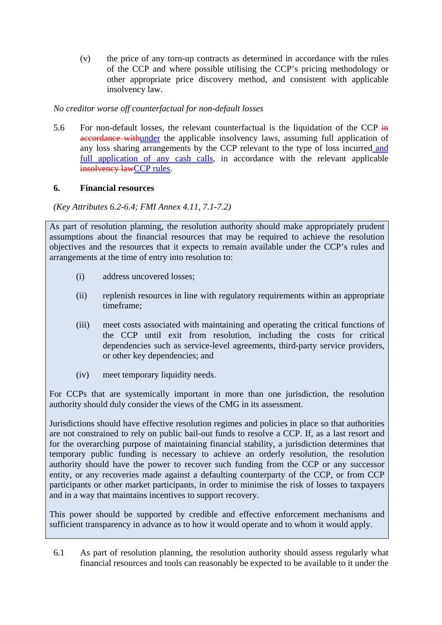(v) the price of any torn-up contracts as determined in accordance with the rules of the CCP and where possible utilising the CCP's pricing methodology or other appropriate price discovery method, and consistent with applicable insolvency law.

# *No creditor worse off counterfactual for non-default losses*

5.6 For non-default losses, the relevant counterfactual is the liquidation of the CCP  $\frac{1}{2}$ accordance withunder the applicable insolvency laws, assuming full application of any loss sharing arrangements by the CCP relevant to the type of loss incurred and full application of any cash calls, in accordance with the relevant applicable insolvency lawCCP rules.

# **6. Financial resources**

*(Key Attributes 6.2-6.4; FMI Annex 4.11, 7.1-7.2)* 

As part of resolution planning, the resolution authority should make appropriately prudent assumptions about the financial resources that may be required to achieve the resolution objectives and the resources that it expects to remain available under the CCP's rules and arrangements at the time of entry into resolution to:

- (i) address uncovered losses;
- (ii) replenish resources in line with regulatory requirements within an appropriate timeframe;
- (iii) meet costs associated with maintaining and operating the critical functions of the CCP until exit from resolution, including the costs for critical dependencies such as service-level agreements, third-party service providers, or other key dependencies; and
- (iv) meet temporary liquidity needs.

For CCPs that are systemically important in more than one jurisdiction, the resolution authority should duly consider the views of the CMG in its assessment.

Jurisdictions should have effective resolution regimes and policies in place so that authorities are not constrained to rely on public bail-out funds to resolve a CCP. If, as a last resort and for the overarching purpose of maintaining financial stability, a jurisdiction determines that temporary public funding is necessary to achieve an orderly resolution, the resolution authority should have the power to recover such funding from the CCP or any successor entity, or any recoveries made against a defaulting counterparty of the CCP, or from CCP participants or other market participants, in order to minimise the risk of losses to taxpayers and in a way that maintains incentives to support recovery.

This power should be supported by credible and effective enforcement mechanisms and sufficient transparency in advance as to how it would operate and to whom it would apply.

6.1 As part of resolution planning, the resolution authority should assess regularly what financial resources and tools can reasonably be expected to be available to it under the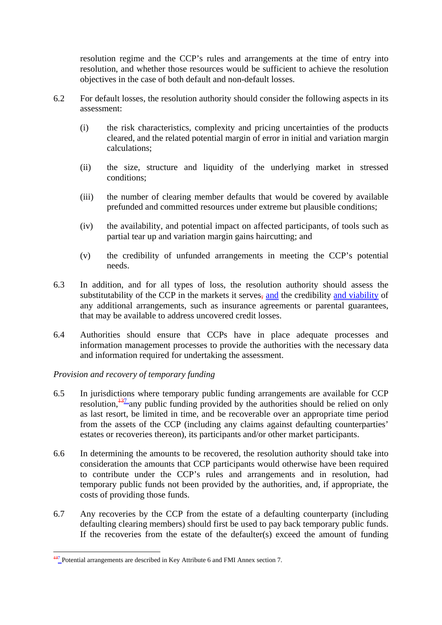resolution regime and the CCP's rules and arrangements at the time of entry into resolution, and whether those resources would be sufficient to achieve the resolution objectives in the case of both default and non-default losses.

- 6.2 For default losses, the resolution authority should consider the following aspects in its assessment:
	- (i) the risk characteristics, complexity and pricing uncertainties of the products cleared, and the related potential margin of error in initial and variation margin calculations;
	- (ii) the size, structure and liquidity of the underlying market in stressed conditions;
	- (iii) the number of clearing member defaults that would be covered by available prefunded and committed resources under extreme but plausible conditions;
	- (iv) the availability, and potential impact on affected participants, of tools such as partial tear up and variation margin gains haircutting; and
	- (v) the credibility of unfunded arrangements in meeting the CCP's potential needs.
- 6.3 In addition, and for all types of loss, the resolution authority should assess the substitutability of the CCP in the markets it serves, and the credibility and viability of any additional arrangements, such as insurance agreements or parental guarantees, that may be available to address uncovered credit losses.
- 6.4 Authorities should ensure that CCPs have in place adequate processes and information management processes to provide the authorities with the necessary data and information required for undertaking the assessment.

## *Provision and recovery of temporary funding*

- 6.5 In jurisdictions where temporary public funding arrangements are available for CCP resolution,  $\frac{137}{2}$  any public funding provided by the authorities should be relied on only as last resort, be limited in time, and be recoverable over an appropriate time period from the assets of the CCP (including any claims against defaulting counterparties' estates or recoveries thereon), its participants and/or other market participants.
- 6.6 In determining the amounts to be recovered, the resolution authority should take into consideration the amounts that CCP participants would otherwise have been required to contribute under the CCP's rules and arrangements and in resolution, had temporary public funds not been provided by the authorities, and, if appropriate, the costs of providing those funds.
- 6.7 Any recoveries by the CCP from the estate of a defaulting counterparty (including defaulting clearing members) should first be used to pay back temporary public funds. If the recoveries from the estate of the defaulter(s) exceed the amount of funding

<sup>1</sup> <sup>137</sup> Potential arrangements are described in Key Attribute 6 and FMI Annex section 7.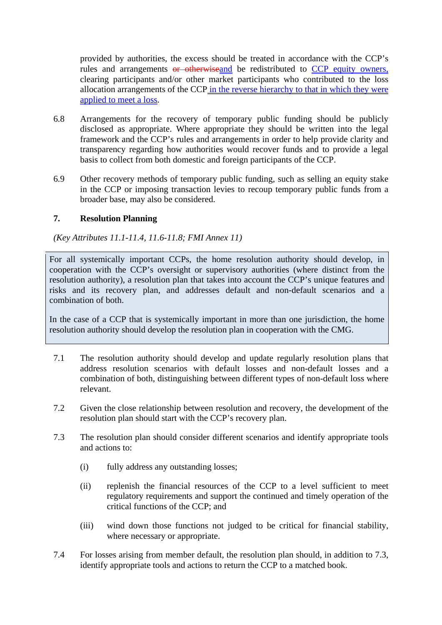provided by authorities, the excess should be treated in accordance with the CCP's rules and arrangements or otherwiseand be redistributed to CCP equity owners, clearing participants and/or other market participants who contributed to the loss allocation arrangements of the CCP in the reverse hierarchy to that in which they were applied to meet a loss.

- 6.8 Arrangements for the recovery of temporary public funding should be publicly disclosed as appropriate. Where appropriate they should be written into the legal framework and the CCP's rules and arrangements in order to help provide clarity and transparency regarding how authorities would recover funds and to provide a legal basis to collect from both domestic and foreign participants of the CCP.
- 6.9 Other recovery methods of temporary public funding, such as selling an equity stake in the CCP or imposing transaction levies to recoup temporary public funds from a broader base, may also be considered.

#### **7. Resolution Planning**

*(Key Attributes 11.1-11.4, 11.6-11.8; FMI Annex 11)* 

For all systemically important CCPs, the home resolution authority should develop, in cooperation with the CCP's oversight or supervisory authorities (where distinct from the resolution authority), a resolution plan that takes into account the CCP's unique features and risks and its recovery plan, and addresses default and non-default scenarios and a combination of both.

In the case of a CCP that is systemically important in more than one jurisdiction, the home resolution authority should develop the resolution plan in cooperation with the CMG.

- 7.1 The resolution authority should develop and update regularly resolution plans that address resolution scenarios with default losses and non-default losses and a combination of both, distinguishing between different types of non-default loss where relevant.
- 7.2 Given the close relationship between resolution and recovery, the development of the resolution plan should start with the CCP's recovery plan.
- 7.3 The resolution plan should consider different scenarios and identify appropriate tools and actions to:
	- (i) fully address any outstanding losses;
	- (ii) replenish the financial resources of the CCP to a level sufficient to meet regulatory requirements and support the continued and timely operation of the critical functions of the CCP; and
	- (iii) wind down those functions not judged to be critical for financial stability, where necessary or appropriate.
- 7.4 For losses arising from member default, the resolution plan should, in addition to 7.3, identify appropriate tools and actions to return the CCP to a matched book.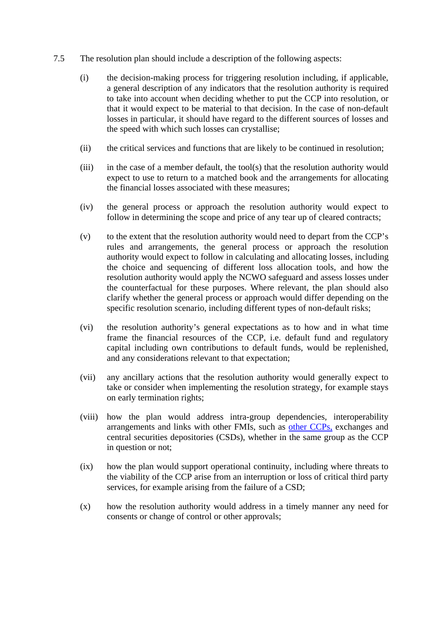- 7.5 The resolution plan should include a description of the following aspects:
	- (i) the decision-making process for triggering resolution including, if applicable, a general description of any indicators that the resolution authority is required to take into account when deciding whether to put the CCP into resolution, or that it would expect to be material to that decision. In the case of non-default losses in particular, it should have regard to the different sources of losses and the speed with which such losses can crystallise;
	- (ii) the critical services and functions that are likely to be continued in resolution;
	- (iii) in the case of a member default, the tool(s) that the resolution authority would expect to use to return to a matched book and the arrangements for allocating the financial losses associated with these measures;
	- (iv) the general process or approach the resolution authority would expect to follow in determining the scope and price of any tear up of cleared contracts;
	- (v) to the extent that the resolution authority would need to depart from the CCP's rules and arrangements, the general process or approach the resolution authority would expect to follow in calculating and allocating losses, including the choice and sequencing of different loss allocation tools, and how the resolution authority would apply the NCWO safeguard and assess losses under the counterfactual for these purposes. Where relevant, the plan should also clarify whether the general process or approach would differ depending on the specific resolution scenario, including different types of non-default risks;
	- (vi) the resolution authority's general expectations as to how and in what time frame the financial resources of the CCP, i.e. default fund and regulatory capital including own contributions to default funds, would be replenished, and any considerations relevant to that expectation;
	- (vii) any ancillary actions that the resolution authority would generally expect to take or consider when implementing the resolution strategy, for example stays on early termination rights;
	- (viii) how the plan would address intra-group dependencies, interoperability arrangements and links with other FMIs, such as other CCPs, exchanges and central securities depositories (CSDs), whether in the same group as the CCP in question or not;
	- (ix) how the plan would support operational continuity, including where threats to the viability of the CCP arise from an interruption or loss of critical third party services, for example arising from the failure of a CSD;
	- (x) how the resolution authority would address in a timely manner any need for consents or change of control or other approvals;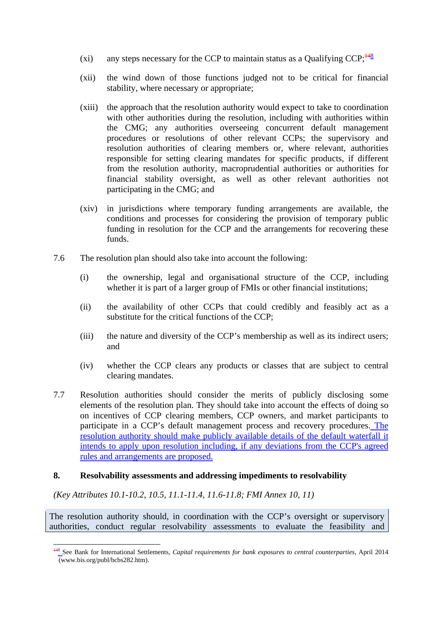- (xi) any steps necessary for the CCP to maintain status as a Qualifying CCP;  $\frac{148}{8}$
- (xii) the wind down of those functions judged not to be critical for financial stability, where necessary or appropriate;
- (xiii) the approach that the resolution authority would expect to take to coordination with other authorities during the resolution, including with authorities within the CMG; any authorities overseeing concurrent default management procedures or resolutions of other relevant CCPs; the supervisory and resolution authorities of clearing members or, where relevant, authorities responsible for setting clearing mandates for specific products, if different from the resolution authority, macroprudential authorities or authorities for financial stability oversight, as well as other relevant authorities not participating in the CMG; and
- (xiv) in jurisdictions where temporary funding arrangements are available, the conditions and processes for considering the provision of temporary public funding in resolution for the CCP and the arrangements for recovering these funds.
- 7.6 The resolution plan should also take into account the following:
	- (i) the ownership, legal and organisational structure of the CCP, including whether it is part of a larger group of FMIs or other financial institutions;
	- (ii) the availability of other CCPs that could credibly and feasibly act as a substitute for the critical functions of the CCP;
	- (iii) the nature and diversity of the CCP's membership as well as its indirect users; and
	- (iv) whether the CCP clears any products or classes that are subject to central clearing mandates.
- 7.7 Resolution authorities should consider the merits of publicly disclosing some elements of the resolution plan. They should take into account the effects of doing so on incentives of CCP clearing members, CCP owners, and market participants to participate in a CCP's default management process and recovery procedures. The resolution authority should make publicly available details of the default waterfall it intends to apply upon resolution including, if any deviations from the CCP's agreed rules and arrangements are proposed.

#### **8. Resolvability assessments and addressing impediments to resolvability**

*(Key Attributes 10.1-10.2, 10.5, 11.1-11.4, 11.6-11.8; FMI Annex 10, 11)* 

The resolution authority should, in coordination with the CCP's oversight or supervisory authorities, conduct regular resolvability assessments to evaluate the feasibility and

<sup>&</sup>lt;u>.</u> <sup>148</sup> See Bank for International Settlements, *Capital requirements for bank exposures to central counterparties*, April 2014 (www.bis.org/publ/bcbs282.htm).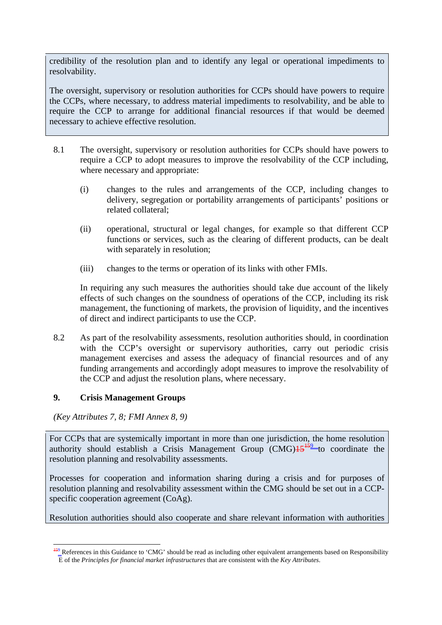credibility of the resolution plan and to identify any legal or operational impediments to resolvability.

The oversight, supervisory or resolution authorities for CCPs should have powers to require the CCPs, where necessary, to address material impediments to resolvability, and be able to require the CCP to arrange for additional financial resources if that would be deemed necessary to achieve effective resolution.

- 8.1 The oversight, supervisory or resolution authorities for CCPs should have powers to require a CCP to adopt measures to improve the resolvability of the CCP including, where necessary and appropriate:
	- (i) changes to the rules and arrangements of the CCP, including changes to delivery, segregation or portability arrangements of participants' positions or related collateral;
	- (ii) operational, structural or legal changes, for example so that different CCP functions or services, such as the clearing of different products, can be dealt with separately in resolution;
	- (iii) changes to the terms or operation of its links with other FMIs.

In requiring any such measures the authorities should take due account of the likely effects of such changes on the soundness of operations of the CCP, including its risk management, the functioning of markets, the provision of liquidity, and the incentives of direct and indirect participants to use the CCP.

8.2 As part of the resolvability assessments, resolution authorities should, in coordination with the CCP's oversight or supervisory authorities, carry out periodic crisis management exercises and assess the adequacy of financial resources and of any funding arrangements and accordingly adopt measures to improve the resolvability of the CCP and adjust the resolution plans, where necessary.

## **9. Crisis Management Groups**

*(Key Attributes 7, 8; FMI Annex 8, 9)* 

<u>.</u>

For CCPs that are systemically important in more than one jurisdiction, the home resolution authority should establish a Crisis Management Group  $(CMG)$   $\frac{15^{159}}{600}$  coordinate the resolution planning and resolvability assessments.

Processes for cooperation and information sharing during a crisis and for purposes of resolution planning and resolvability assessment within the CMG should be set out in a CCPspecific cooperation agreement (CoAg).

Resolution authorities should also cooperate and share relevant information with authorities

 $159$  References in this Guidance to 'CMG' should be read as including other equivalent arrangements based on Responsibility E of the *Principles for financial market infrastructures* that are consistent with the *Key Attributes*.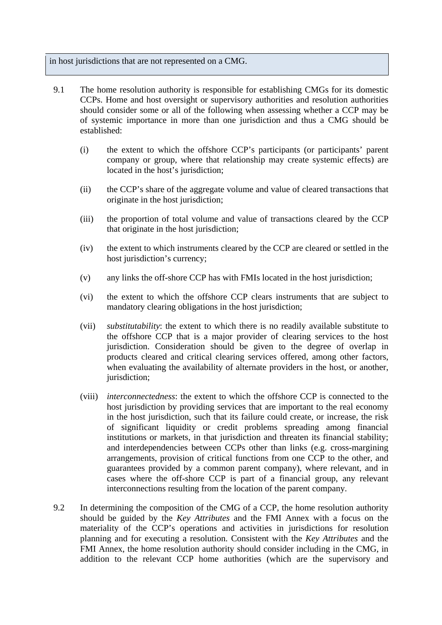in host jurisdictions that are not represented on a CMG.

- 9.1 The home resolution authority is responsible for establishing CMGs for its domestic CCPs. Home and host oversight or supervisory authorities and resolution authorities should consider some or all of the following when assessing whether a CCP may be of systemic importance in more than one jurisdiction and thus a CMG should be established:
	- (i) the extent to which the offshore CCP's participants (or participants' parent company or group, where that relationship may create systemic effects) are located in the host's jurisdiction;
	- (ii) the CCP's share of the aggregate volume and value of cleared transactions that originate in the host jurisdiction;
	- (iii) the proportion of total volume and value of transactions cleared by the CCP that originate in the host jurisdiction;
	- (iv) the extent to which instruments cleared by the CCP are cleared or settled in the host jurisdiction's currency;
	- (v) any links the off-shore CCP has with FMIs located in the host jurisdiction;
	- (vi) the extent to which the offshore CCP clears instruments that are subject to mandatory clearing obligations in the host jurisdiction;
	- (vii) *substitutability*: the extent to which there is no readily available substitute to the offshore CCP that is a major provider of clearing services to the host jurisdiction. Consideration should be given to the degree of overlap in products cleared and critical clearing services offered, among other factors, when evaluating the availability of alternate providers in the host, or another, jurisdiction;
	- (viii) *interconnectedness*: the extent to which the offshore CCP is connected to the host jurisdiction by providing services that are important to the real economy in the host jurisdiction, such that its failure could create, or increase, the risk of significant liquidity or credit problems spreading among financial institutions or markets, in that jurisdiction and threaten its financial stability; and interdependencies between CCPs other than links (e.g. cross-margining arrangements, provision of critical functions from one CCP to the other, and guarantees provided by a common parent company), where relevant, and in cases where the off-shore CCP is part of a financial group, any relevant interconnections resulting from the location of the parent company.
- 9.2 In determining the composition of the CMG of a CCP, the home resolution authority should be guided by the *Key Attributes* and the FMI Annex with a focus on the materiality of the CCP's operations and activities in jurisdictions for resolution planning and for executing a resolution. Consistent with the *Key Attributes* and the FMI Annex, the home resolution authority should consider including in the CMG, in addition to the relevant CCP home authorities (which are the supervisory and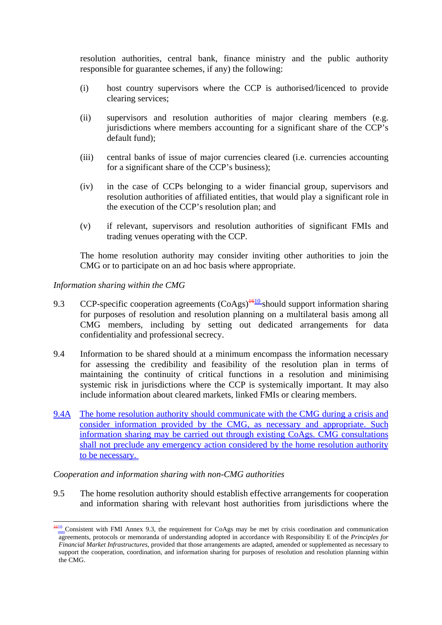resolution authorities, central bank, finance ministry and the public authority responsible for guarantee schemes, if any) the following:

- (i) host country supervisors where the CCP is authorised/licenced to provide clearing services;
- (ii) supervisors and resolution authorities of major clearing members (e.g. jurisdictions where members accounting for a significant share of the CCP's default fund);
- (iii) central banks of issue of major currencies cleared (i.e. currencies accounting for a significant share of the CCP's business);
- (iv) in the case of CCPs belonging to a wider financial group, supervisors and resolution authorities of affiliated entities, that would play a significant role in the execution of the CCP's resolution plan; and
- (v) if relevant, supervisors and resolution authorities of significant FMIs and trading venues operating with the CCP.

The home resolution authority may consider inviting other authorities to join the CMG or to participate on an ad hoc basis where appropriate.

#### *Information sharing within the CMG*

<u>.</u>

- 9.3 CCP-specific cooperation agreements  $(CoAgs)$ <sup> $+610$ </sup> should support information sharing for purposes of resolution and resolution planning on a multilateral basis among all CMG members, including by setting out dedicated arrangements for data confidentiality and professional secrecy.
- 9.4 Information to be shared should at a minimum encompass the information necessary for assessing the credibility and feasibility of the resolution plan in terms of maintaining the continuity of critical functions in a resolution and minimising systemic risk in jurisdictions where the CCP is systemically important. It may also include information about cleared markets, linked FMIs or clearing members.
- 9.4A The home resolution authority should communicate with the CMG during a crisis and consider information provided by the CMG, as necessary and appropriate. Such information sharing may be carried out through existing CoAgs. CMG consultations shall not preclude any emergency action considered by the home resolution authority to be necessary.

#### *Cooperation and information sharing with non-CMG authorities*

9.5 The home resolution authority should establish effective arrangements for cooperation and information sharing with relevant host authorities from jurisdictions where the

<sup>&</sup>lt;sup>1610</sup> Consistent with FMI Annex 9.3, the requirement for CoAgs may be met by crisis coordination and communication agreements, protocols or memoranda of understanding adopted in accordance with Responsibility E of the *Principles for Financial Market Infrastructures*, provided that those arrangements are adapted, amended or supplemented as necessary to support the cooperation, coordination, and information sharing for purposes of resolution and resolution planning within the CMG.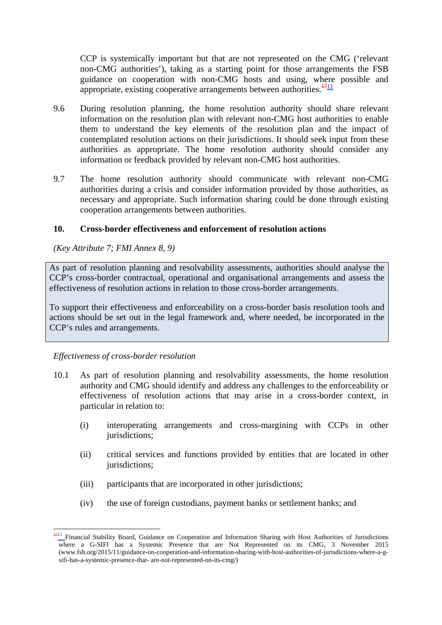CCP is systemically important but that are not represented on the CMG ('relevant non-CMG authorities'), taking as a starting point for those arrangements the FSB guidance on cooperation with non-CMG hosts and using, where possible and appropriate, existing cooperative arrangements between authorities. $\frac{1711}{1711}$ 

- 9.6 During resolution planning, the home resolution authority should share relevant information on the resolution plan with relevant non-CMG host authorities to enable them to understand the key elements of the resolution plan and the impact of contemplated resolution actions on their jurisdictions. It should seek input from these authorities as appropriate. The home resolution authority should consider any information or feedback provided by relevant non-CMG host authorities.
- 9.7 The home resolution authority should communicate with relevant non-CMG authorities during a crisis and consider information provided by those authorities, as necessary and appropriate. Such information sharing could be done through existing cooperation arrangements between authorities.

#### **10. Cross-border effectiveness and enforcement of resolution actions**

*(Key Attribute 7; FMI Annex 8, 9)* 

As part of resolution planning and resolvability assessments, authorities should analyse the CCP's cross-border contractual, operational and organisational arrangements and assess the effectiveness of resolution actions in relation to those cross-border arrangements.

To support their effectiveness and enforceability on a cross-border basis resolution tools and actions should be set out in the legal framework and, where needed, be incorporated in the CCP's rules and arrangements.

#### *Effectiveness of cross-border resolution*

- 10.1 As part of resolution planning and resolvability assessments, the home resolution authority and CMG should identify and address any challenges to the enforceability or effectiveness of resolution actions that may arise in a cross-border context, in particular in relation to:
	- (i) interoperating arrangements and cross-margining with CCPs in other jurisdictions;
	- (ii) critical services and functions provided by entities that are located in other jurisdictions;
	- (iii) participants that are incorporated in other jurisdictions;
	- (iv) the use of foreign custodians, payment banks or settlement banks; and

<sup>1</sup>  $1711$  Financial Stability Board, Guidance on Cooperation and Information Sharing with Host Authorities of Jurisdictions where a G-SIFI has a Systemic Presence that are Not Represented on its CMG, 3 November 2015 (www.fsb.org/2015/11/guidance-on-cooperation-and-information-sharing-with-host-authorities-of-jurisdictions-where-a-gsifi-has-a-systemic-presence-that- are-not-represented-on-its-cmg/)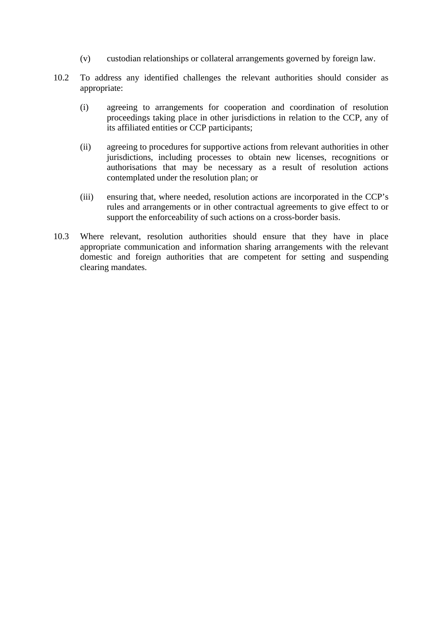- (v) custodian relationships or collateral arrangements governed by foreign law.
- 10.2 To address any identified challenges the relevant authorities should consider as appropriate:
	- (i) agreeing to arrangements for cooperation and coordination of resolution proceedings taking place in other jurisdictions in relation to the CCP, any of its affiliated entities or CCP participants;
	- (ii) agreeing to procedures for supportive actions from relevant authorities in other jurisdictions, including processes to obtain new licenses, recognitions or authorisations that may be necessary as a result of resolution actions contemplated under the resolution plan; or
	- (iii) ensuring that, where needed, resolution actions are incorporated in the CCP's rules and arrangements or in other contractual agreements to give effect to or support the enforceability of such actions on a cross-border basis.
- 10.3 Where relevant, resolution authorities should ensure that they have in place appropriate communication and information sharing arrangements with the relevant domestic and foreign authorities that are competent for setting and suspending clearing mandates.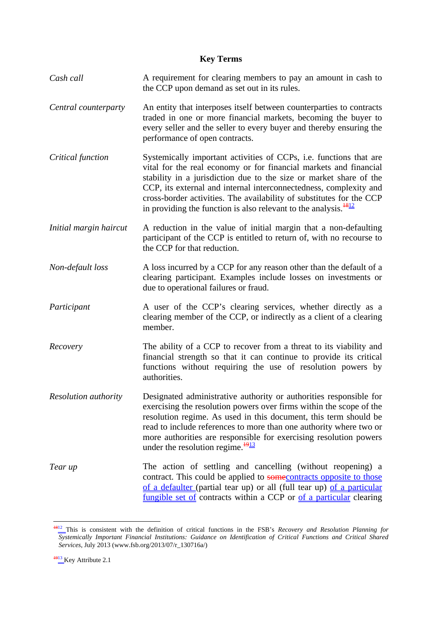#### **Key Terms**

- *Cash call* **A** requirement for clearing members to pay an amount in cash to the CCP upon demand as set out in its rules.
- *Central counterparty* An entity that interposes itself between counterparties to contracts traded in one or more financial markets, becoming the buyer to every seller and the seller to every buyer and thereby ensuring the performance of open contracts.
- *Critical function* Systemically important activities of CCPs, i.e. functions that are vital for the real economy or for financial markets and financial stability in a jurisdiction due to the size or market share of the CCP, its external and internal interconnectedness, complexity and cross-border activities. The availability of substitutes for the CCP in providing the function is also relevant to the analysis. $\frac{1812}{181}$
- *Initial margin haircut* A reduction in the value of initial margin that a non-defaulting participant of the CCP is entitled to return of, with no recourse to the CCP for that reduction.
- *Non-default loss* A loss incurred by a CCP for any reason other than the default of a clearing participant. Examples include losses on investments or due to operational failures or fraud.
- *Participant* A user of the CCP's clearing services, whether directly as a clearing member of the CCP, or indirectly as a client of a clearing member.
- *Recovery* The ability of a CCP to recover from a threat to its viability and financial strength so that it can continue to provide its critical functions without requiring the use of resolution powers by authorities.
- *Resolution authority* Designated administrative authority or authorities responsible for exercising the resolution powers over firms within the scope of the resolution regime. As used in this document, this term should be read to include references to more than one authority where two or more authorities are responsible for exercising resolution powers under the resolution regime. $\frac{1913}{191}$
- *Tear up* **The action of settling and cancelling (without reopening) a** contract. This could be applied to some contracts opposite to those of a defaulter (partial tear up) or all (full tear up) of a particular fungible set of contracts within a CCP or of a particular clearing

<sup>&</sup>lt;u>.</u> <sup>1812</sup> This is consistent with the definition of critical functions in the FSB's *Recovery and Resolution Planning for Systemically Important Financial Institutions: Guidance on Identification of Critical Functions and Critical Shared Services*, July 2013 (www.fsb.org/2013/07/r\_130716a/)

 $\frac{1913}{1913}$  Key Attribute 2.1